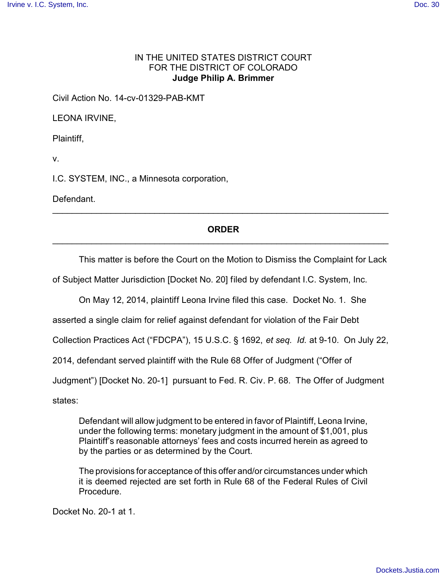## IN THE UNITED STATES DISTRICT COURT FOR THE DISTRICT OF COLORADO **Judge Philip A. Brimmer**

Civil Action No. 14-cv-01329-PAB-KMT

LEONA IRVINE,

Plaintiff,

v.

I.C. SYSTEM, INC., a Minnesota corporation,

Defendant.

## **ORDER** \_\_\_\_\_\_\_\_\_\_\_\_\_\_\_\_\_\_\_\_\_\_\_\_\_\_\_\_\_\_\_\_\_\_\_\_\_\_\_\_\_\_\_\_\_\_\_\_\_\_\_\_\_\_\_\_\_\_\_\_\_\_\_\_\_\_\_\_\_

\_\_\_\_\_\_\_\_\_\_\_\_\_\_\_\_\_\_\_\_\_\_\_\_\_\_\_\_\_\_\_\_\_\_\_\_\_\_\_\_\_\_\_\_\_\_\_\_\_\_\_\_\_\_\_\_\_\_\_\_\_\_\_\_\_\_\_\_\_

This matter is before the Court on the Motion to Dismiss the Complaint for Lack

of Subject Matter Jurisdiction [Docket No. 20] filed by defendant I.C. System, Inc.

On May 12, 2014, plaintiff Leona Irvine filed this case. Docket No. 1. She

asserted a single claim for relief against defendant for violation of the Fair Debt

Collection Practices Act ("FDCPA"), 15 U.S.C. § 1692, *et seq. Id.* at 9-10. On July 22,

2014, defendant served plaintiff with the Rule 68 Offer of Judgment ("Offer of

Judgment") [Docket No. 20-1] pursuant to Fed. R. Civ. P. 68. The Offer of Judgment

states:

Defendant will allow judgment to be entered in favor of Plaintiff, Leona Irvine, under the following terms: monetary judgment in the amount of \$1,001, plus Plaintiff's reasonable attorneys' fees and costs incurred herein as agreed to by the parties or as determined by the Court.

The provisions for acceptance of this offer and/or circumstances under which it is deemed rejected are set forth in Rule 68 of the Federal Rules of Civil Procedure.

Docket No. 20-1 at 1.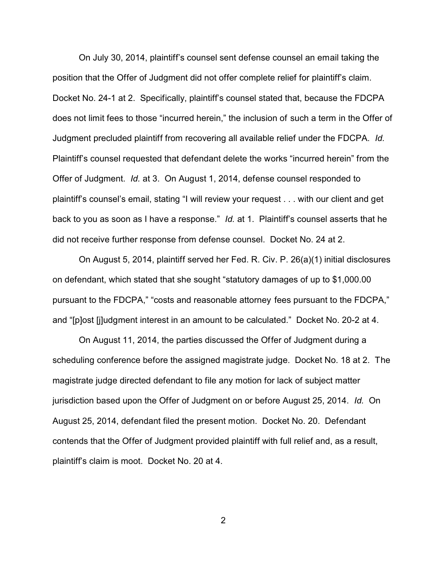On July 30, 2014, plaintiff's counsel sent defense counsel an email taking the position that the Offer of Judgment did not offer complete relief for plaintiff's claim. Docket No. 24-1 at 2. Specifically, plaintiff's counsel stated that, because the FDCPA does not limit fees to those "incurred herein," the inclusion of such a term in the Offer of Judgment precluded plaintiff from recovering all available relief under the FDCPA. *Id.* Plaintiff's counsel requested that defendant delete the works "incurred herein" from the Offer of Judgment. *Id.* at 3. On August 1, 2014, defense counsel responded to plaintiff's counsel's email, stating "I will review your request . . . with our client and get back to you as soon as I have a response." *Id.* at 1. Plaintiff's counsel asserts that he did not receive further response from defense counsel. Docket No. 24 at 2.

On August 5, 2014, plaintiff served her Fed. R. Civ. P. 26(a)(1) initial disclosures on defendant, which stated that she sought "statutory damages of up to \$1,000.00 pursuant to the FDCPA," "costs and reasonable attorney fees pursuant to the FDCPA," and "[p]ost [j]udgment interest in an amount to be calculated." Docket No. 20-2 at 4.

On August 11, 2014, the parties discussed the Offer of Judgment during a scheduling conference before the assigned magistrate judge. Docket No. 18 at 2. The magistrate judge directed defendant to file any motion for lack of subject matter jurisdiction based upon the Offer of Judgment on or before August 25, 2014. *Id.* On August 25, 2014, defendant filed the present motion. Docket No. 20. Defendant contends that the Offer of Judgment provided plaintiff with full relief and, as a result, plaintiff's claim is moot. Docket No. 20 at 4.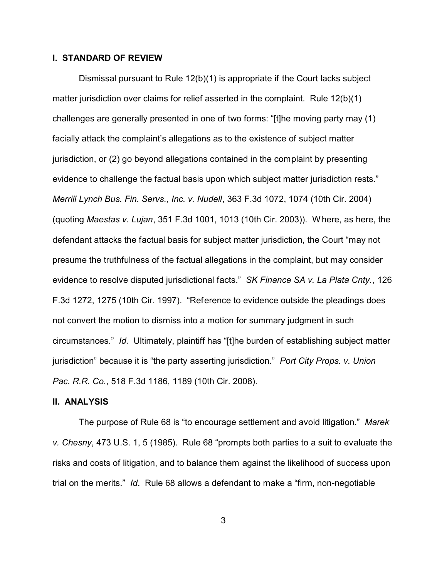## **I. STANDARD OF REVIEW**

Dismissal pursuant to Rule 12(b)(1) is appropriate if the Court lacks subject matter jurisdiction over claims for relief asserted in the complaint. Rule 12(b)(1) challenges are generally presented in one of two forms: "[t]he moving party may (1) facially attack the complaint's allegations as to the existence of subject matter jurisdiction, or (2) go beyond allegations contained in the complaint by presenting evidence to challenge the factual basis upon which subject matter jurisdiction rests." *Merrill Lynch Bus. Fin. Servs., Inc. v. Nudell*, 363 F.3d 1072, 1074 (10th Cir. 2004) (quoting *Maestas v. Lujan*, 351 F.3d 1001, 1013 (10th Cir. 2003)). Where, as here, the defendant attacks the factual basis for subject matter jurisdiction, the Court "may not presume the truthfulness of the factual allegations in the complaint, but may consider evidence to resolve disputed jurisdictional facts." *SK Finance SA v. La Plata Cnty.*, 126 F.3d 1272, 1275 (10th Cir. 1997). "Reference to evidence outside the pleadings does not convert the motion to dismiss into a motion for summary judgment in such circumstances." *Id.* Ultimately, plaintiff has "[t]he burden of establishing subject matter jurisdiction" because it is "the party asserting jurisdiction." *Port City Props. v. Union Pac. R.R. Co.*, 518 F.3d 1186, 1189 (10th Cir. 2008).

## **II. ANALYSIS**

The purpose of Rule 68 is "to encourage settlement and avoid litigation." *Marek v. Chesny*, 473 U.S. 1, 5 (1985). Rule 68 "prompts both parties to a suit to evaluate the risks and costs of litigation, and to balance them against the likelihood of success upon trial on the merits." *Id*. Rule 68 allows a defendant to make a "firm, non-negotiable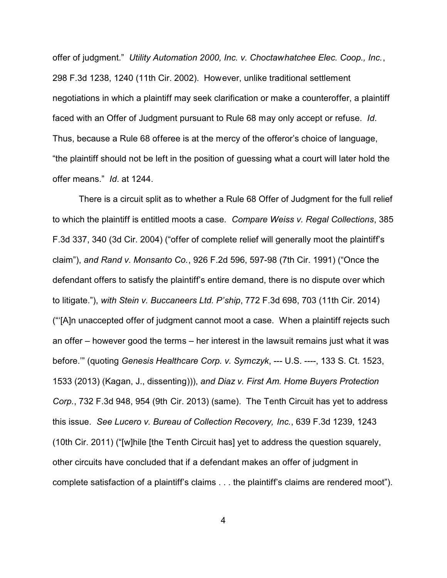offer of judgment." *Utility Automation 2000, Inc. v. Choctawhatchee Elec. Coop., Inc.*, 298 F.3d 1238, 1240 (11th Cir. 2002). However, unlike traditional settlement negotiations in which a plaintiff may seek clarification or make a counteroffer, a plaintiff faced with an Offer of Judgment pursuant to Rule 68 may only accept or refuse. *Id*. Thus, because a Rule 68 offeree is at the mercy of the offeror's choice of language, "the plaintiff should not be left in the position of guessing what a court will later hold the offer means." *Id*. at 1244.

There is a circuit split as to whether a Rule 68 Offer of Judgment for the full relief to which the plaintiff is entitled moots a case. *Compare Weiss v. Regal Collections*, 385 F.3d 337, 340 (3d Cir. 2004) ("offer of complete relief will generally moot the plaintiff's claim"), *and Rand v. Monsanto Co.*, 926 F.2d 596, 597-98 (7th Cir. 1991) ("Once the defendant offers to satisfy the plaintiff's entire demand, there is no dispute over which to litigate."), *with Stein v. Buccaneers Ltd. P'ship*, 772 F.3d 698, 703 (11th Cir. 2014) ("'[A]n unaccepted offer of judgment cannot moot a case. When a plaintiff rejects such an offer – however good the terms – her interest in the lawsuit remains just what it was before.'" (quoting *Genesis Healthcare Corp. v. Symczyk*, --- U.S. ----, 133 S. Ct. 1523, 1533 (2013) (Kagan, J., dissenting))), *and Diaz v. First Am. Home Buyers Protection Corp.*, 732 F.3d 948, 954 (9th Cir. 2013) (same). The Tenth Circuit has yet to address this issue. *See Lucero v. Bureau of Collection Recovery, Inc.*, 639 F.3d 1239, 1243 (10th Cir. 2011) ("[w]hile [the Tenth Circuit has] yet to address the question squarely, other circuits have concluded that if a defendant makes an offer of judgment in complete satisfaction of a plaintiff's claims . . . the plaintiff's claims are rendered moot").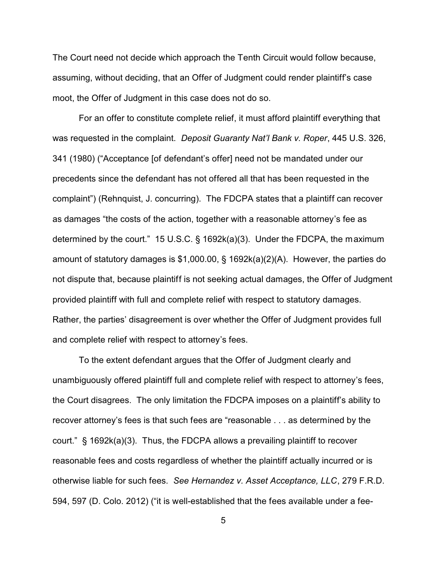The Court need not decide which approach the Tenth Circuit would follow because, assuming, without deciding, that an Offer of Judgment could render plaintiff's case moot, the Offer of Judgment in this case does not do so.

For an offer to constitute complete relief, it must afford plaintiff everything that was requested in the complaint. *Deposit Guaranty Nat'l Bank v. Roper*, 445 U.S. 326, 341 (1980) ("Acceptance [of defendant's offer] need not be mandated under our precedents since the defendant has not offered all that has been requested in the complaint") (Rehnquist, J. concurring). The FDCPA states that a plaintiff can recover as damages "the costs of the action, together with a reasonable attorney's fee as determined by the court." 15 U.S.C. § 1692k(a)(3). Under the FDCPA, the maximum amount of statutory damages is \$1,000.00, § 1692k(a)(2)(A). However, the parties do not dispute that, because plaintiff is not seeking actual damages, the Offer of Judgment provided plaintiff with full and complete relief with respect to statutory damages. Rather, the parties' disagreement is over whether the Offer of Judgment provides full and complete relief with respect to attorney's fees.

To the extent defendant argues that the Offer of Judgment clearly and unambiguously offered plaintiff full and complete relief with respect to attorney's fees, the Court disagrees. The only limitation the FDCPA imposes on a plaintiff's ability to recover attorney's fees is that such fees are "reasonable . . . as determined by the court." § 1692k(a)(3). Thus, the FDCPA allows a prevailing plaintiff to recover reasonable fees and costs regardless of whether the plaintiff actually incurred or is otherwise liable for such fees. *See Hernandez v. Asset Acceptance, LLC*, 279 F.R.D. 594, 597 (D. Colo. 2012) ("it is well-established that the fees available under a fee-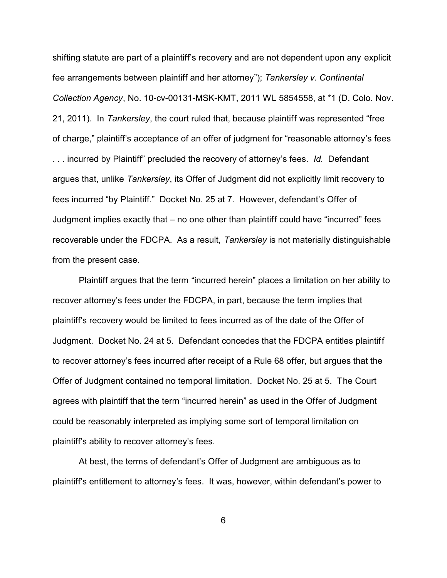shifting statute are part of a plaintiff's recovery and are not dependent upon any explicit fee arrangements between plaintiff and her attorney"); *Tankersley v. Continental Collection Agency*, No. 10-cv-00131-MSK-KMT, 2011 WL 5854558, at \*1 (D. Colo. Nov. 21, 2011). In *Tankersley*, the court ruled that, because plaintiff was represented "free of charge," plaintiff's acceptance of an offer of judgment for "reasonable attorney's fees . . . incurred by Plaintiff" precluded the recovery of attorney's fees. *Id.* Defendant argues that, unlike *Tankersley*, its Offer of Judgment did not explicitly limit recovery to fees incurred "by Plaintiff." Docket No. 25 at 7. However, defendant's Offer of Judgment implies exactly that – no one other than plaintiff could have "incurred" fees recoverable under the FDCPA. As a result, *Tankersley* is not materially distinguishable from the present case.

Plaintiff argues that the term "incurred herein" places a limitation on her ability to recover attorney's fees under the FDCPA, in part, because the term implies that plaintiff's recovery would be limited to fees incurred as of the date of the Offer of Judgment. Docket No. 24 at 5. Defendant concedes that the FDCPA entitles plaintiff to recover attorney's fees incurred after receipt of a Rule 68 offer, but argues that the Offer of Judgment contained no temporal limitation. Docket No. 25 at 5. The Court agrees with plaintiff that the term "incurred herein" as used in the Offer of Judgment could be reasonably interpreted as implying some sort of temporal limitation on plaintiff's ability to recover attorney's fees.

At best, the terms of defendant's Offer of Judgment are ambiguous as to plaintiff's entitlement to attorney's fees. It was, however, within defendant's power to